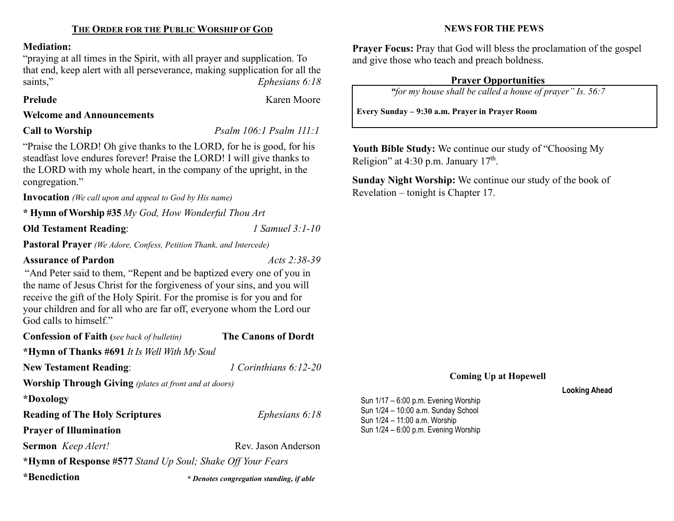# Mediation:

"praying at all times in the Spirit, with all prayer and supplication. To that end, keep alert with all perseverance, making supplication for all the saints," Ephesians 6:18

# Prelude **Karen Moore**

## Welcome and Announcements

Call to Worship Psalm 106:1 Psalm 111:1

"Praise the LORD! Oh give thanks to the LORD, for he is good, for his steadfast love endures forever! Praise the LORD! I will give thanks to the LORD with my whole heart, in the company of the upright, in the congregation."

Invocation (We call upon and appeal to God by His name)

\* Hymn of Worship #35 My God, How Wonderful Thou Art

Old Testament Reading: 1 Samuel 3:1-10

Pastoral Prayer (We Adore, Confess, Petition Thank, and Intercede)

# Assurance of Pardon Acts 2:38-39

"And Peter said to them, "Repent and be baptized every one of you in the name of Jesus Christ for the forgiveness of your sins, and you will receive the gift of the Holy Spirit. For the promise is for you and for your children and for all who are far off, everyone whom the Lord our God calls to himself."

| <b>Confession of Faith</b> (see back of bulletin)            | <b>The Canons of Dordt</b>               |  |  |
|--------------------------------------------------------------|------------------------------------------|--|--|
| *Hymn of Thanks #691 It Is Well With My Soul                 |                                          |  |  |
| <b>New Testament Reading:</b>                                | 1 Corinthians 6:12-20                    |  |  |
| <b>Worship Through Giving</b> (plates at front and at doors) |                                          |  |  |
| *Doxology                                                    |                                          |  |  |
| <b>Reading of The Holy Scriptures</b>                        | Ephesians 6:18                           |  |  |
| <b>Prayer of Illumination</b>                                |                                          |  |  |
| Sermon Keep Alert!                                           | Rev. Jason Anderson                      |  |  |
| *Hymn of Response #577 Stand Up Soul; Shake Off Your Fears   |                                          |  |  |
| *Benediction                                                 | * Denotes congregation standing, if able |  |  |

# NEWS FOR THE PEWS

Prayer Focus: Pray that God will bless the proclamation of the gospel and give those who teach and preach boldness.

# Prayer Opportunities

"for my house shall be called a house of prayer" Is. 56:7

Every Sunday – 9:30 a.m. Prayer in Prayer Room

Youth Bible Study: We continue our study of "Choosing My Religion" at 4:30 p.m. January  $17<sup>th</sup>$ .

Sunday Night Worship: We continue our study of the book of Revelation – tonight is Chapter 17.

# Coming Up at Hopewell

### Looking Ahead

Sun 1/17 – 6:00 p.m. Evening Worship Sun 1/24 – 10:00 a.m. Sunday School Sun 1/24 – 11:00 a.m. Worship Sun 1/24 – 6:00 p.m. Evening Worship